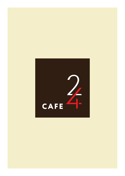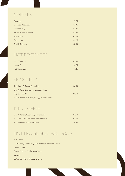# COFFEES

| Espresso                    | €2.75 |
|-----------------------------|-------|
| Espresso Macchiato          | €2.75 |
| Espresso Lungo              | €2.75 |
| Pot of Instant Coffee for 1 | €3.00 |
| Americano                   | €3.25 |
| Cappuccino                  | €3.25 |
| Double Espresso             | €3.50 |

# HOT BEVERAGES

| Pot of Tea for 1 | €300           |
|------------------|----------------|
| Herbal Tea       | $\epsilon$ 325 |
| Hot Chocolate    | $\epsilon$ 325 |

# SMOOTHIES

| Strawberry & Banana Smoothie                  | €6.50           |
|-----------------------------------------------|-----------------|
| Blended strawberries, banana, apple juice     |                 |
| <b>Tropical Smoothie -</b>                    | $\epsilon$ 6.50 |
| Blended papaya, mango, pineapple, apple juice |                 |

# ICED COFFEE

| Blended shot of espresso, milk and ice   | $\epsilon$ 5.50 |
|------------------------------------------|-----------------|
| Add Vanilla, Hazelnut or Caramel Flavour | $\epsilon$ 570  |
| Add scoop of Vanilla ice-cream           | $\epsilon$ 600  |

# HOT HOUSE SPECIALS - €6.75

Irish Coffee Classic Recipe combining Irish Whisky, Coffee and Cream Baileys Coffee Baileys Liqueur, Coffee and Cream Jamaican Coffee Dark Rum, Coffee and Cream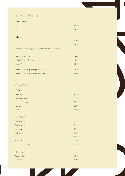# BEVERAGES

## SOFT DRINKS

| 25 <sub>cl</sub>                                        | €2.90  |
|---------------------------------------------------------|--------|
| <b>50cl</b>                                             | €4.50  |
|                                                         |        |
| <b>JUICES</b>                                           |        |
| 25 <sub>cl</sub>                                        | €2.90  |
| 50cl                                                    | €4.50  |
| Orange, Pineapple, Apple, Cranberry, Tomato, Grapefruit |        |
|                                                         |        |
| Fresh Orange Juice                                      | € 4.40 |
| Ice Tea Peach or Lemon                                  | €3.10  |
| <b>Energy Drink</b>                                     | €5.50  |
|                                                         |        |
| Imported Still or Sparkling Water 25cl                  | €3.20  |
| Imported Still or Sparkling Water 75cl                  | €4.80  |

# BEERS

| <b>LOCAL</b>          |       |
|-----------------------|-------|
| Cisk Lager 25cl       | €3.20 |
| Cisk Lager 50cl       | €5.50 |
| Hopleaf Pale Ale      | €3.20 |
| <b>Blue Label Ale</b> | €3.80 |
| Cisk Chill            | €3.80 |

## IMPORTED

| Carlsberg 25cl     | €3.70    |
|--------------------|----------|
| Carlsberg 50cl     | €6.50    |
| Heineken           | €4.20    |
| <b>Budweiser</b>   | €4.20    |
| Corona             | €5.30    |
| Guinness           | € $6.50$ |
| Non alcoholic Beer | € 4.20   |

## CIDERS

| Woodpecker | €6.00 |
|------------|-------|
| Strongbow  | €6.00 |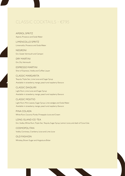# CLASSIC COCKTAILS - €7.95

APEROL SPRITZ Aperol, Prosecco and Soda Water

LIMENCOLLO SPRITZ Limencello, Prosecco and Soda Water

NEGRONI Gin, Sweet Vermouth and Campari

DRY MARTINI Gin, Dry Vermouth

ESPRESSO MARTINI Shot of Espresso, Vodka and Coffee Liquer

CLASSIC MARGARITA Tequila, Triple Sec, Lime Juice and Sugar Syrup Available in strawberry, mango, peach and raspberry flavours

CLASSIC DAIQUIRI Light Rum, Lime Juice and Sugar Syrup Available in strawberry, mango, peach and raspberry flavours

CLASSIC MOJITIO Light Rum, Mint Leaves, Sugar Syrup, Lime wedges and Soda Water Available in strawberry, mango, peach and raspberry flavours

PINA COLADA White Rum, Coconut Purée, Pineapple Juice and Cream

LONG ISLAND ICE-TEA Gin, Vodka, White Rum, Triple Sec, Tequila, Sugar Syrup, Lemon Juice, and dash of Coca Cola

COSMOPOLITAN Vodka, Cointreau, Cranberry Juice and Lime Juice

OLD FASHION Whiskey, Brown Sugar and Angostura Bitter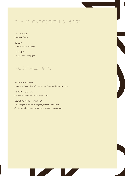# CHAMPAGNE COCKTAILS - €10.50

KIR ROYALE Créme de Cassis

BELLINI Peach Purée, Champagne

MIMOSA Orange Juice, Champagne

# MOCKTAILS - €4.75

HEAVENLY ANGEL Strawberry Purée, Mango Purée, Banana Purée and Pineapple Juice

VIRGIN COLADA Coconut Purée, Pineapple Juice and Cream

CLASSIC VIRGIN MOJITO

Lime wedges, Mint Leaves, Sugar Syrup and Soda Water Available in strawberry, mango, peach and raspberry flavours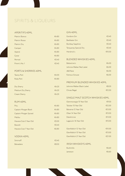# SPIRITS & LIQUEURS

## APERITIFS 40ML

| Martini Bianco | €4.80 |
|----------------|-------|
| Martini Rosso  | €4.80 |
| Martini Dry    | €4.80 |
| Campari        | €4.80 |
| Aperol         | €4.80 |
| Cynar          | €4.80 |
| Pernod         | €5.40 |
| Pimm's No.1    | €5.40 |

## PORTS & SHERRIES 40ML

| <b>Tawny Port</b> | €4.00 |
|-------------------|-------|
| Ruby Port         | €4.80 |
|                   |       |

| Dry Sherry        | €4.20 |
|-------------------|-------|
| Medium Dry Sherry | €4.20 |
| Cream Sherry      | €4.20 |

## RUM 40ML

| Pitu                   | €4.80    |
|------------------------|----------|
| Captain Morgan Black   | €4.80    |
| Captain Morgan Spiced  | €4.80    |
| Malibu                 | €4.80    |
| Havana Club 3 Year Old | €5.00    |
| Bacardi                | €5.40    |
| Havana Club 7 Year Old | € $6.80$ |

## VODKA 40ML

| <b>Smirnoff</b>  | €5.40 |
|------------------|-------|
| <b>Belvedere</b> | €8.50 |

## GIN 40ML

| Gordons Gin                  | $\epsilon$ 540 |
|------------------------------|----------------|
| Beefeater Gin                | $\epsilon$ 540 |
| <b>Bombay Sapphire</b>       | $\epsilon$ 540 |
| <b>Tangueray Special Dry</b> | $\epsilon$ 540 |
| Hendrick's                   | €10.50         |

## BLENDED WHISKIES 40ML

| Ballantine's             | €6.00          |
|--------------------------|----------------|
| Johnnie Walker Red Label | €6.00          |
| J&B Rare                 | €6.00          |
| Famous Grouse            | $\epsilon$ 600 |

## PREMIUM BLENDED WHISKIES 40ML

| Johnnie Walker Black Label | €8.50  |
|----------------------------|--------|
| Chivas Regal               | €12.50 |

## SINGLE MALT SCOTCH WHISKIES 40ML

| Glenmorangie 10 Year Old | €9.50  |
|--------------------------|--------|
| Talisker 10 Year Old     | €12.00 |
| Balvenie 12 Year Old     | €13.00 |
| Oban 14 Year Old         | €13.50 |
| Dalwhinnie               | €13.50 |
| Lagavulin 16 Year Old    | €15.00 |
|                          |        |
| Glenfiddich 12 Year Old  | €10.00 |
| Glenfiddich 15 Year Old  | €13.00 |
| Glenfiddich 21 Year Old  | €21.00 |
|                          |        |
| IRISH WHISKFYS 40ML      |        |

| <b>Bushmills</b> | €6.60 |
|------------------|-------|
| Jameson          | €6.60 |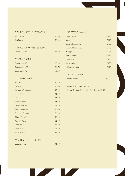| <b>BOURBON WHISKEYS 40ML</b> |
|------------------------------|
|------------------------------|

CANADIAN WHISKIES 40ML

COGNAC 40ML

LIQUEURS 40ML

Jack Daniel's €6.60 Jim Beam €6.80

Canadian Club €6.00

 $\epsilon$ 8.50 Courvoisier VSOP <del>€11.75</del> Courvoisier XO <del>€19.50</del>

Kahlúa €5.40 Baileys  $65.40$ Amaretto Disaronno €5.40 Frangelico €5.40  $P$ assoã  $\epsilon$ 5.40 Blue Curacao €5.40 Crème de Cassis <del>€5.40</del> Peach Schnapps **€5.40** Southern Comfort **E**6.00 Cherry Brandy **Executive Executive Executive** E6.00 Apricot Brandy €6.00 Cointreau €6.60 Drambuie €6.60  $B$ énédictine  $\epsilon$ 9.50

## DIGESTIVES 40ML

| Jägermeister     | €5.95 |
|------------------|-------|
| Averna           | €5.95 |
| Amaro Ramazzotti | €5.95 |
| Amaro Montenegro | €5.95 |
| Grappa           | €5.95 |
| Fernet Branca    | €5.95 |
| Sambuca          | €5.95 |
| Limoncello       | €5.95 |
| Crème de Menthe  | €595  |

## TEQUILAS 40ML

| Tequila Blanco | €6.00 |
|----------------|-------|
|                |       |

## Add €0.50 for mixer top-up

Energy Drink or Fresh Juice Mixer Top Up €2.00

|  | Zeppi's Bajtra |  |  | €5.40 |  |
|--|----------------|--|--|-------|--|
|--|----------------|--|--|-------|--|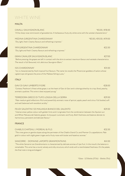# WHITE WINE

## MALTA

| CAVALLI SAUVIGNON BLANC<br>"A fine sharp nose reminiscent of gooseberries. A herbaceous fruity dry white wine with the varietal characteristics"                                                                                     | <sup>®</sup> €5.00 / €18.00          |
|--------------------------------------------------------------------------------------------------------------------------------------------------------------------------------------------------------------------------------------|--------------------------------------|
| MEDINA GIRGENTINA CHARDONNAY<br>"Dry, light, fresh. Creamy flavours and refreshing crispness."                                                                                                                                       | <sup>®</sup> €5.00 / €10.50 / €19.00 |
| 1919 GIRGENTINA CHARDONNAY<br>"Dry, light and fresh. Creamy flavours and refreshing crispness."                                                                                                                                      | €22.50                               |
| <b>GRAN CAVALIER SAUVIGNON BLANC</b><br>"Before pressing, the grapes are left in contact with the skins to extract maximum flavour and varietals characteristics.<br>The result is full flavoured, rich, delicious Sauvignon Blanc." | €27.00                               |
| <b>ISIS CHARDONNAY</b><br>"Isis is characterized by fresh tropical fruit flavours. The name Isis recalls the Phoenician goddess of sailors whose<br>vigilant eye still graces the prow of the Maltese fishing Luzzu."                | €31.00                               |
| <b>ITALY</b>                                                                                                                                                                                                                         |                                      |
| <b>GAVI DI GAVI UMBERTO FIORE</b><br>"Cortese, Piedmont's finest white grape, is at the heart of Gavi di Gavi and is distinguished by its crisp, floral, peachy,<br>aromatic qualities. This wine is best enjoyed young."            | €28.00                               |
| TERREDORA GRECO DI TUFO LOGGIA DELLA SERRA<br>"Pale-medium gold reflections. Rich and powerfully aromatic nose of apricot, apple, peach and citrus. Full bodied, soft<br>and well balanced with excellent acidity."                  | €29.50                               |
| FEUDI SALENTINI 125 MALVASIA BIANCO DEL SALENTO                                                                                                                                                                                      | €79.50                               |

"Intense straw-yellow colour with golden hints and it originates from the combination between the Apulian sun and White Malvasia del Salento grapes. Its bouquet is aromatic and fruity. Both freshness and balance denote its harmonious, persistent and delicate flavour."

## FRANCE

## CHABLIS CHATEAU J. MOREAU & FILS ∈532.50 "The vines grow on gentle slopes along the perimeter of the Chablis Grand Cru and Premier Cru appellations. Pale gold in colour with slight green tinges and a fruity nose with butter and hazelnut aromas."

## SANCERRE – DOMAINE LAPORTE GRANMONTAINS <del>€41.00</del>

"The white Sancerre Les Grandmontains is characterised by delicate aromas of ripe fruit. In the mouth, the balance is remarkable. This wine has a round, velvety and silky structure, which ends with a mentholated freshness. On the palate, the final note is long and elegant."

\*Glass - 1/2 Bottle (37.5cl) - Bottle (75cl)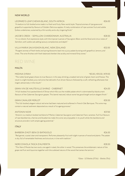## NEW WORLD

## LEOPARD'S LEAP CHENIN BLANC, SOUTH AFRICA €26.00

"A medium to full-bodied wine made in a fresh and fruity New-world style. Tropical aromas of ripe guava and grapefruit supported by flavours of Golden Delicious apples. A lively combination of ripe summer fruit and subtle fynbos undertones, sustained by a firm acidity and a dry, lingering finish."

## JACOB'S CREEK – SEMILLON-CHARDONNAY, AUSTRALIA €28.50

"It is a vibrant, fruit expressive style, with the tropical nuances of Sauvignon Blanc and the floral and citrus notes of Semillon, with subtle oak adding savoury complexities and depth."

## VILLA MARIA SAUVIGNON BLANC, NEW ZEALAND €32.00

"Pungent aromas of fresh herbs and spring blossoms lead into a juicy palate bursting with grapefruit, lemons, and limes. The wine finishes with fresh balanced sherbet-like acidity and mineral flinty tones."



## **MAITA**

## MEDINA SYRAH \*€5.00 / €10.50 / €19.00

"The noble Syrah grape shows its true flavours in this easy drinking, unoaked red wine of great charm and finesse. The result is a light-bodied, juicy red wine that delive4rs fruit driven flavours followed by a soft, refreshing aftertaste that lingers attractively in the mouth."

## GRAN VIN DE HAUTEVILLE SHIRAZ - CABERNET <del>€24.50</del>

"A full-bodied, fruit packed blend of Shiraz which fills out the middle palate which is dominated by blackcurrant flavours of the Cabernet Sauvignon grapes. This barrel matured, robust wone has good length and an elegant finish."

## GRAN CAVALIER MERLOT GERAL DE CHARGE EN CHARGE EN CHARGE EN CHARGE EN CHARGE EN CHARGE EN CHARGE EN CHARGE EN

"This full-bodied, elegant robust red wine had been matured and softened in French Oak Barriques. This wine may contain a natural sediment deposited as a result of its ageing process."

## ANTONIN NOIR  $\epsilon$ 37.00

"Antonin is a medium bodied red blend of Merlot, Cabernet Sauvignon and Cabernet Franc varieties. Full fruit flavours of ripe blackberries, cherries and blueberries make this wine very enjoyable in its youth while the backbone and structure provide it with ample ageing potential."

## ITALY

## BARBERA D'ASTI BENI DI BATASIOLO ∈ EN EN EN EN EN EN EN EN EN EN ESTADO EN ESTADO EN ESTADO EN EL ESTADO EN EN

"Red garnet, crystal clear and transparent. Perfumes pleasantly fruit with slight nuances of wood and plants. The palate is dry, full of remarkable freshness and structure, in line with tradition."

## NERO D'AVOLA TASCA D'ALMERITA €28.50

"This Nero D'Avola has two souls, one aged in steel, the other in wood. This preserves the emblematic nature of the grape red fruit and liquorice together with the subdued nature of the wood that tames the tannins."

\*Glass - 1/2 Bottle (37.5cl) - Bottle (75cl)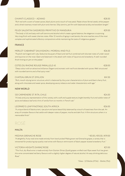## CHIANTI CLASSICO – AZIANO €28.50

"Rich red with a scent of sweet spices, black plums and a touch of rose petal. Palate shows fennel seeds, white pepper and a dried rosemary mixed with plum and cherries. Silky tannins, yet firm with balanced acidity and excellent length."

## FEUDI SALENTINI SASSIROSSI PRIMITIVO DI MANDURIA €29.50

"The body is full and tasty with soft tannins and alcohol which create a good balance, the elegance is surprising. Very long finish with sweet cherries notes. After 12 months of aging in oak barrels, the wine reaches one of the most complex and sophisticated olfactory compositions while maintaining the taste of indigenous grapes."

## FRANCE

## MERLOT-CABARNET SAUVIGNON J. MOREAU AND FILS €26.50

"Purplish red tinged with ruby. Seductive bouquet of black and red fruit combined with discreet notes of under-wood and liquorice on the nose. Open and balanced in the attack with notes of liquorice and strawberry. A well-rounded finish hinting on jam on the palate."

## COTES DU RHONE ROUGE PARALLELE 45 €28.00 "Deep colour with an attractive brilliance. Elegant and aromatic with red fruits blended with spices. Well-structured

with rounded tannins and a final spicy note."

## CHATEAU BRUN ST. EMILION €41.50

"Rich, mouth-drying tannic structure, which is balanced by the juicer characteristics of plum and black cherry fruit, along with chocolate and sweet spice, developing savory tobacco and cedar characteristics with age."

## NEW WORLD

## 120 CARMENERE ST. RITA, CHILE  $\epsilon$ 24.50

"A lively and juicy representation of this variety, with a soft and supple texture, bright brambly fruit and subtle notes of spice and tabasco leaf and a hint of vanilla from six months in French oak."

## LEOPARD'S LEAP PINOTAGE, SOUTH AFRICA €26.00

"A unique blend of blackcurrant, ripe plum and spice beautifully balanced by a touch of toastiness from the oak. An array of complex flavours that settle with deeper notes of pepper, mocha and dark fruit. A firm structure ushers in a memorable finish."

# ROSÉ

## **MAITA**

## MEDINA GRENACHE ROSE  $\text{POSE} = 5.00 \div 10.50 \div 10.50 \div 10.50 \div 10.50$

"A delightful, fruity rosé wine made entirely from hand-picked Malta grown red Grenache grapes, a variety that is renowned for producing top quality rosé wines with flavours reminiscent of black-pepper dusted strawberry fruit."

## VICTORIA HEIGHTS SHIRAZ ROSE  $\epsilon$ 21.00

"This fruit, dry Rosé wine is made entirely from Gozitan Shiraz (Syrah) grapes vinified rosé. Ripe sweet fruit has given this wine concentrated red berry flavours with a slightly higher degree of natural alcohol. An easy drinking delicious Rosé."

\*Glass - 1/2 Bottle (37.5cl) - Bottle (75cl)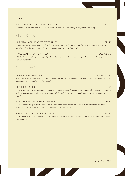## FRANCE

ROSE D'ANJOU – CHATELAIN DESJACQUES  $\epsilon$ 22.50 "Bursting with red berry and fruit flavours, slightly sweet with lively acidity to keep them refreshing."

# SPARKLING

## UMBERTO FIORE MOSCATO D'ASTI, ITALY €26.50

"Pale straw yellow. Heady perfume of fresh vine flower, peach and tropical fruits. Gently sweet, with restrained alcohol, the vibrant fruit flavours envelop the palate, underscored by a refreshing acidity."

## PROSECCO BIANCA NERA, ITALY \*€7.50 / €27.50 / €27.50 / €27.50

"Pale light yellow colour, with fine perlage. Delicately fruity, slightly aromatic bouquet. Well balanced and light body. Harmonic at the taste."

# CHAMPAGNE

## DRAPPIER CART D'OR, FRANCE  $\textdegree$ €12.50 / €60.00

"Champagne with a fine aromatic richness, it opens with aromas of stoned fruits such as white vineyard peach. A spicy hint announces a powerful complex palate."

## DRAPPIER ROSÉ BRUT <del>€70.00</del>

"Very well structured, with exemplary purity of red fruits. A striking Champagne on the nose offering similar sensations on the palate. Warm and satiny, lightly spiced with balanced hints of stoned fruits thanks to a lovely freshness in the finish."

## MOET & CHANDON IMPERIAL, FRANCE ∈€85.00

"The vibrant intensity of green apple and citrus fruit combined with the freshness of mineral nuances and white flowers. Moet & Chandon offers aromas of brioche, cereal and fresh nuts."

## VEUVE CLICQUOT PONSARDIN, FRANCE €95.00

"Initial notes of fruit are followed by more discreet aromas of brioche and vanilla. It offers a perfect balance of finesse and forcefulness

\*Glass - Bottle (75cl)